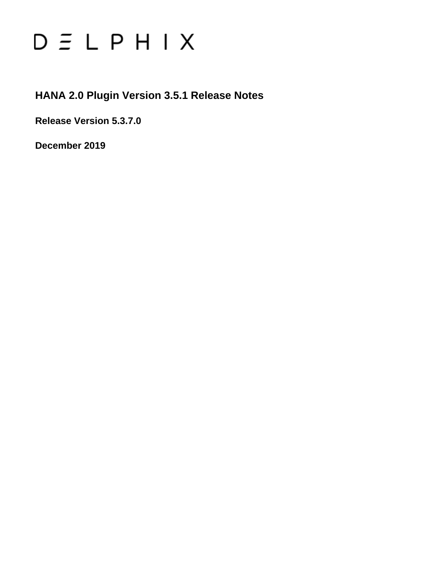# $D \subseteq L$   $P$   $H$   $I$   $X$

### **HANA 2.0 Plugin Version 3.5.1 Release Notes**

**Release Version 5.3.7.0**

**December 2019**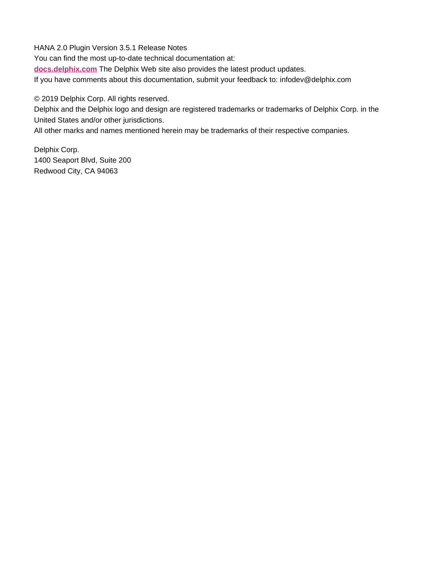HANA 2.0 Plugin Version 3.5.1 Release Notes You can find the most up-to-date technical documentation at: **[docs.delphix.com](http://docs.delphix.com)** The Delphix Web site also provides the latest product updates. If you have comments about this documentation, submit your feedback to: infodev@delphix.com

© 2019 Delphix Corp. All rights reserved.

Delphix and the Delphix logo and design are registered trademarks or trademarks of Delphix Corp. in the United States and/or other jurisdictions.

All other marks and names mentioned herein may be trademarks of their respective companies.

Delphix Corp. 1400 Seaport Blvd, Suite 200 Redwood City, CA 94063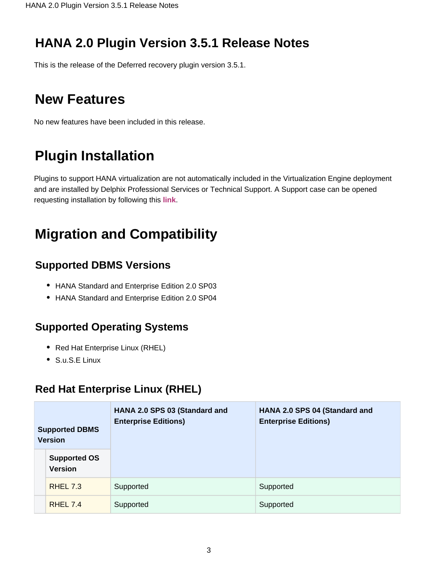## **HANA 2.0 Plugin Version 3.5.1 Release Notes**

This is the release of the Deferred recovery plugin version 3.5.1.

## **New Features**

No new features have been included in this release.

# **Plugin Installation**

Plugins to support HANA virtualization are not automatically included in the Virtualization Engine deployment and are installed by Delphix Professional Services or Technical Support. A Support case can be opened requesting installation by following this **[link](http://support-tickets.delphix.com/)**.

# **Migration and Compatibility**

#### **Supported DBMS Versions**

- HANA Standard and Enterprise Edition 2.0 SP03
- HANA Standard and Enterprise Edition 2.0 SP04

#### **Supported Operating Systems**

- Red Hat Enterprise Linux (RHEL)
- S.u.S.E Linux

## **Red Hat Enterprise Linux (RHEL)**

| <b>Supported DBMS</b><br><b>Version</b> |                                       | HANA 2.0 SPS 03 (Standard and<br><b>Enterprise Editions)</b> | HANA 2.0 SPS 04 (Standard and<br><b>Enterprise Editions)</b> |  |
|-----------------------------------------|---------------------------------------|--------------------------------------------------------------|--------------------------------------------------------------|--|
|                                         | <b>Supported OS</b><br><b>Version</b> |                                                              |                                                              |  |
|                                         | <b>RHEL 7.3</b>                       | Supported                                                    | Supported                                                    |  |
|                                         | RHEL 7.4                              | Supported                                                    | Supported                                                    |  |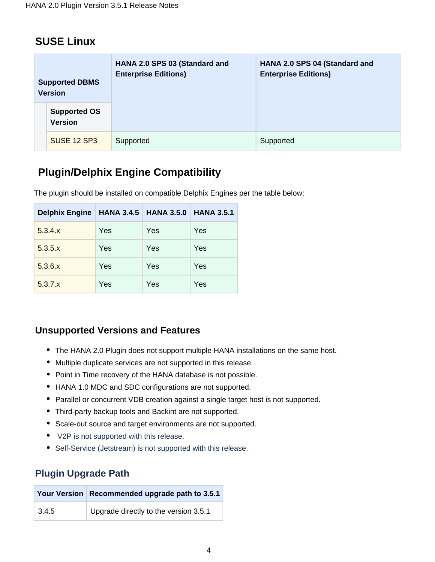#### **SUSE Linux**

| <b>Supported DBMS</b><br><b>Version</b> |                                       | HANA 2.0 SPS 03 (Standard and<br><b>Enterprise Editions)</b> | HANA 2.0 SPS 04 (Standard and<br><b>Enterprise Editions)</b> |
|-----------------------------------------|---------------------------------------|--------------------------------------------------------------|--------------------------------------------------------------|
|                                         | <b>Supported OS</b><br><b>Version</b> |                                                              |                                                              |
|                                         | SUSE 12 SP3                           | Supported                                                    | Supported                                                    |

## **Plugin/Delphix Engine Compatibility**

The plugin should be installed on compatible Delphix Engines per the table below:

| <b>Delphix Engine</b> | <b>HANA 3.4.5 HANA 3.5.0</b> |     | <b>HANA 3.5.1</b> |
|-----------------------|------------------------------|-----|-------------------|
| 5.3.4.x               | Yes                          | Yes | Yes               |
| 5.3.5.x               | Yes                          | Yes | Yes               |
| 5.3.6.x               | Yes                          | Yes | Yes               |
| 5.3.7.x               | Yes                          | Yes | Yes               |

#### **Unsupported Versions and Features**

- The HANA 2.0 Plugin does not support multiple HANA installations on the same host.
- Multiple duplicate services are not supported in this release.
- Point in Time recovery of the HANA database is not possible.
- HANA 1.0 MDC and SDC configurations are not supported.
- Parallel or concurrent VDB creation against a single target host is not supported.
- Third-party backup tools and Backint are not supported.
- Scale-out source and target environments are not supported.
- V2P is not supported with this release.
- Self-Service (Jetstream) is not supported with this release.

#### **Plugin Upgrade Path**

|       | Your Version   Recommended upgrade path to 3.5.1 |
|-------|--------------------------------------------------|
| 3.4.5 | Upgrade directly to the version 3.5.1            |